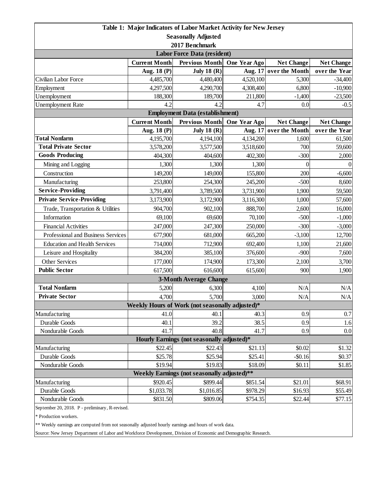| Table 1: Major Indicators of Labor Market Activity for New Jersey                                                                                 |                      |                               |                      |                   |                        |  |  |  |
|---------------------------------------------------------------------------------------------------------------------------------------------------|----------------------|-------------------------------|----------------------|-------------------|------------------------|--|--|--|
| <b>Seasonally Adjusted</b>                                                                                                                        |                      |                               |                      |                   |                        |  |  |  |
| 2017 Benchmark                                                                                                                                    |                      |                               |                      |                   |                        |  |  |  |
| <b>Labor Force Data (resident)</b>                                                                                                                |                      |                               |                      |                   |                        |  |  |  |
|                                                                                                                                                   | <b>Current Month</b> | <b>Previous Month</b>         | One Year Ago         | <b>Net Change</b> | <b>Net Change</b>      |  |  |  |
|                                                                                                                                                   | Aug. 18 (P)          | July 18 $(R)$                 | Aug. 17              | over the Month    | over the Year          |  |  |  |
| Civilian Labor Force                                                                                                                              | 4,485,700            | 4,480,400                     | 4,520,100            | 5,300             | $-34,400$              |  |  |  |
| Employment<br>Unemployment                                                                                                                        | 4,297,500<br>188,300 | 4,290,700<br>189,700          | 4,308,400<br>211,800 | 6,800<br>$-1,400$ | $-10,900$<br>$-23,500$ |  |  |  |
| <b>Unemployment Rate</b>                                                                                                                          | 4.2                  | 4.2                           | 4.7                  | 0.0               | $-0.5$                 |  |  |  |
|                                                                                                                                                   |                      |                               |                      |                   |                        |  |  |  |
| <b>Employment Data (establishment)</b><br><b>Current Month</b><br><b>Previous Month</b><br>One Year Ago<br><b>Net Change</b><br><b>Net Change</b> |                      |                               |                      |                   |                        |  |  |  |
|                                                                                                                                                   | Aug. 18 (P)          | <b>July 18 (R)</b>            | Aug. 17              | over the Month    | over the Year          |  |  |  |
| <b>Total Nonfarm</b>                                                                                                                              | 4,195,700            | 4,194,100                     | 4,134,200            | 1,600             | 61,500                 |  |  |  |
| <b>Total Private Sector</b>                                                                                                                       | 3,578,200            | 3,577,500                     | 3,518,600            | 700               | 59,600                 |  |  |  |
| <b>Goods Producing</b>                                                                                                                            | 404,300              | 404,600                       | 402,300              | $-300$            | 2,000                  |  |  |  |
| Mining and Logging                                                                                                                                | 1,300                | 1,300                         | 1,300                | $\theta$          | $\Omega$               |  |  |  |
| Construction                                                                                                                                      | 149,200              | 149,000                       | 155,800              | 200               | $-6,600$               |  |  |  |
| Manufacturing                                                                                                                                     | 253,800              | 254,300                       | 245,200              | $-500$            | 8,600                  |  |  |  |
| <b>Service-Providing</b>                                                                                                                          | 3,791,400            | 3,789,500                     | 3,731,900            | 1,900             | 59,500                 |  |  |  |
| <b>Private Service-Providing</b>                                                                                                                  | 3,173,900            | 3,172,900                     | 3,116,300            | 1,000             | 57,600                 |  |  |  |
| Trade, Transportation & Utilities                                                                                                                 | 904,700              | 902,100                       | 888,700              | 2,600             | 16,000                 |  |  |  |
| Information                                                                                                                                       | 69,100               | 69,600                        | 70,100               | $-500$            | $-1,000$               |  |  |  |
| <b>Financial Activities</b>                                                                                                                       | 247,000              | 247,300                       | 250,000              | $-300$            | $-3,000$               |  |  |  |
| Professional and Business Services                                                                                                                | 677,900              | 681,000                       | 665,200              | $-3,100$          | 12,700                 |  |  |  |
| <b>Education and Health Services</b>                                                                                                              | 714,000              | 712,900                       | 692,400              | 1,100             | 21,600                 |  |  |  |
| Leisure and Hospitality                                                                                                                           | 384,200              | 385,100                       | 376,600              | $-900$            | 7,600                  |  |  |  |
| Other Services                                                                                                                                    | 177,000              | 174,900                       | 173,300              | 2,100             | 3,700                  |  |  |  |
| <b>Public Sector</b>                                                                                                                              | 617,500              | 616,600                       | 615,600              | 900               | 1,900                  |  |  |  |
|                                                                                                                                                   |                      | <b>3-Month Average Change</b> |                      |                   |                        |  |  |  |
| <b>Total Nonfarm</b>                                                                                                                              | 5,200                | 6,300                         | 4,100                | N/A               | N/A                    |  |  |  |
| <b>Private Sector</b>                                                                                                                             | 4,700                | 5,700                         | 3,000                | N/A               | N/A                    |  |  |  |
| Weekly Hours of Work (not seasonally adjusted)*                                                                                                   |                      |                               |                      |                   |                        |  |  |  |
| Manufacturing                                                                                                                                     | 41.0                 | 40.1                          | 40.3                 | 0.9               | 0.7                    |  |  |  |
| Durable Goods                                                                                                                                     | 40.1                 | 39.2                          | 38.5                 | 0.9               | 1.6                    |  |  |  |
| Nondurable Goods                                                                                                                                  | 41.7                 | 40.8                          | 41.7                 | 0.9               | 0.0                    |  |  |  |
| Hourly Earnings (not seasonally adjusted)*                                                                                                        |                      |                               |                      |                   |                        |  |  |  |
| Manufacturing                                                                                                                                     | \$22.45              | \$22.43                       | \$21.13              | \$0.02            | \$1.32                 |  |  |  |
| Durable Goods                                                                                                                                     | \$25.78              | \$25.94                       | \$25.41              | $-$0.16$          | \$0.37                 |  |  |  |
| Nondurable Goods                                                                                                                                  | \$19.94              | \$19.83                       | \$18.09              | \$0.11            | \$1.85                 |  |  |  |
| Weekly Earnings (not seasonally adjusted)**                                                                                                       |                      |                               |                      |                   |                        |  |  |  |
| Manufacturing                                                                                                                                     | \$920.45             | \$899.44                      | \$851.54             | \$21.01           | \$68.91                |  |  |  |
| Durable Goods                                                                                                                                     | \$1,033.78           | \$1,016.85                    | \$978.29             | \$16.93           | \$55.49                |  |  |  |
| Nondurable Goods<br>September 20, 2018. P - preliminary, R-revised.                                                                               | \$831.50             | \$809.06                      | \$754.35             | \$22.44           | \$77.15                |  |  |  |

\* Production workers.

\*\* Weekly earnings are computed from not seasonally adjusted hourly earnings and hours of work data.

Source: New Jersey Department of Labor and Workforce Development, Division of Economic and Demographic Research.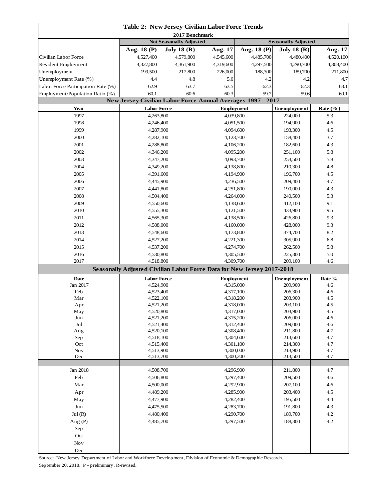| Table 2: New Jersey Civilian Labor Force Trends |                                                                        |                                |                        |                   |                            |                     |
|-------------------------------------------------|------------------------------------------------------------------------|--------------------------------|------------------------|-------------------|----------------------------|---------------------|
| 2017 Benchmark                                  |                                                                        |                                |                        |                   |                            |                     |
|                                                 |                                                                        | <b>Not Seasonally Adjusted</b> |                        |                   | <b>Seasonally Adjusted</b> |                     |
|                                                 | Aug. 18 (P)                                                            | July 18 $(R)$                  | Aug. 17                | Aug. 18 (P)       | July 18 $(R)$              | Aug. 17             |
| Civilian Labor Force                            | 4,527,400                                                              | 4,579,800                      | 4,545,600              | 4,485,700         | 4,480,400                  | 4,520,100           |
| Resident Employment                             | 4,327,800                                                              | 4,361,900                      | 4,319,600              | 4,297,500         | 4,290,700                  | 4,308,400           |
| Unemployment                                    | 199,500                                                                | 217,800                        | 226,000                | 188,300           | 189,700                    | 211,800             |
| Unemployment Rate (%)                           | 4.4                                                                    | 4.8                            | 5.0                    | 4.2               | 4.2                        | 4.7                 |
| Labor Force Participation Rate (%)              | 62.9                                                                   | 63.7                           | 63.5                   | 62.3              | 62.3                       | 63.1                |
| Employment/Population Ratio (%)                 | 60.1                                                                   | 60.6                           | 60.3                   | 59.7              | 59.6                       | 60.1                |
|                                                 | New Jersey Civilian Labor Force Annual Averages 1997 - 2017            |                                |                        |                   |                            |                     |
| Year<br>1997                                    | <b>Labor Force</b>                                                     |                                | 4,039,800              | <b>Employment</b> | Unemployment<br>224,000    | Rate $(\%$ )<br>5.3 |
| 1998                                            | 4,263,800<br>4,246,400                                                 |                                |                        |                   | 194,900                    | 4.6                 |
| 1999                                            | 4,287,900                                                              |                                | 4,051,500              |                   | 193,300                    | 4.5                 |
| 2000                                            | 4,282,100                                                              |                                | 4,094,600<br>4,123,700 |                   | 158,400                    | 3.7                 |
| 2001                                            |                                                                        |                                | 4,106,200              |                   | 182,600                    | 4.3                 |
| 2002                                            | 4,288,800                                                              |                                |                        |                   |                            |                     |
|                                                 | 4,346,200                                                              |                                |                        | 4,095,200         | 251,100                    | 5.8                 |
| 2003                                            | 4,347,200                                                              |                                | 4,093,700              |                   | 253,500                    | 5.8                 |
| 2004                                            | 4,349,200                                                              |                                |                        | 4,138,800         | 210,300                    | 4.8                 |
| 2005                                            | 4,391,600                                                              |                                |                        | 4,194,900         | 196,700                    | 4.5                 |
| 2006                                            | 4,445,900                                                              |                                | 4,236,500              |                   | 209,400                    | 4.7                 |
| 2007                                            | 4,441,800                                                              |                                | 4,251,800              |                   | 190,000                    | 4.3                 |
| 2008                                            | 4,504,400                                                              |                                |                        | 4,264,000         | 240,500<br>412,100         | 5.3                 |
| 2009                                            | 4,550,600                                                              |                                |                        | 4,138,600         |                            | 9.1                 |
| 2010                                            | 4,555,300                                                              |                                | 4,121,500              |                   | 433,900<br>426,800         | 9.5                 |
| 2011                                            | 4,565,300                                                              |                                |                        | 4,138,500         |                            | 9.3                 |
| 2012                                            | 4,588,000                                                              |                                |                        | 4,160,000         | 428,000                    | 9.3                 |
| 2013                                            | 4,548,600                                                              |                                | 4,173,800              |                   | 374,700                    | 8.2                 |
| 2014                                            | 4,527,200                                                              |                                |                        | 4,221,300         | 305,900                    | 6.8                 |
| 2015                                            | 4,537,200                                                              |                                |                        | 4,274,700         | 262,500                    | 5.8                 |
| 2016                                            | 4,530,800                                                              |                                | 4,305,500              |                   | 225,300                    | 5.0                 |
| 2017                                            | 4,518,800                                                              |                                | 4,309,700              |                   | 209,100                    | 4.6                 |
|                                                 | Seasonally Adjusted Civilian Labor Force Data for New Jersey 2017-2018 |                                |                        |                   |                            |                     |
| <b>Date</b>                                     | <b>Labor Force</b>                                                     |                                | <b>Employment</b>      |                   | Unemployment               | Rate %              |
| Jan 2017                                        | 4,524,900                                                              |                                | 4,315,000              |                   | 209,900                    | 4.6                 |
| Feb                                             | 4,523,400                                                              |                                |                        | 4,317,100         | 206,300                    | 4.6                 |
| Mar                                             | 4,522,100<br>4,521,200                                                 |                                | 4,318,000              | 4,318,200         | 203,900<br>203,100         | 4.5<br>4.5          |
| Apr<br>May                                      | 4,520,800                                                              |                                | 4,317,000              |                   | 203,900                    | 4.5                 |
| Jun                                             | 4,521,200                                                              |                                | 4,315,200              |                   | 206,000                    | 4.6                 |
| $_{\rm{Jul}}$                                   | 4,521,400                                                              |                                | 4,312,400              |                   | 209,000                    | 4.6                 |
| Aug                                             | 4,520,100                                                              |                                | 4,308,400              |                   | 211,800                    | 4.7                 |
| Sep                                             | 4,518,100                                                              |                                | 4,304,600              |                   | 213,600                    | 4.7                 |
| Oct                                             | 4,515,400                                                              |                                | 4,301,100              |                   | 214,300                    | 4.7                 |
| Nov                                             | 4,513,900                                                              |                                | 4,300,000              |                   | 213,900                    | 4.7                 |
| Dec                                             | 4,513,700                                                              |                                | 4,300,200              |                   | 213,500                    | 4.7                 |
| Jan 2018                                        | 4,508,700                                                              |                                |                        | 4,296,900         | 211,800                    | 4.7                 |
| Feb                                             | 4,506,800                                                              |                                | 4,297,400              |                   | 209,500                    | 4.6                 |
| Mar                                             | 4,500,000                                                              |                                | 4,292,900              |                   | 207,100                    | 4.6                 |
| Apr                                             | 4,489,200                                                              |                                | 4,285,900              |                   | 203,400                    | 4.5                 |
| May                                             | 4,477,900                                                              |                                |                        |                   | 195,500                    | 4.4                 |
| Jun                                             | 4,475,500                                                              |                                | 4,282,400              |                   | 191,800                    | 4.3                 |
| Jul(R)                                          | 4,480,400                                                              |                                | 4,283,700<br>4,290,700 |                   | 189,700                    | 4.2                 |
| Aug $(P)$                                       | 4,485,700                                                              |                                | 4,297,500              |                   | 188,300                    | 4.2                 |
|                                                 |                                                                        |                                |                        |                   |                            |                     |
| Sep                                             |                                                                        |                                |                        |                   |                            |                     |
| Oct                                             |                                                                        |                                |                        |                   |                            |                     |
| $\operatorname{Nov}$                            |                                                                        |                                |                        |                   |                            |                     |
| $\rm Dec$                                       |                                                                        |                                |                        |                   |                            |                     |

Source: New Jersey Department of Labor and Workforce Development, Division of Economic & Demographic Research. September 20, 2018. P - preliminary, R-revised.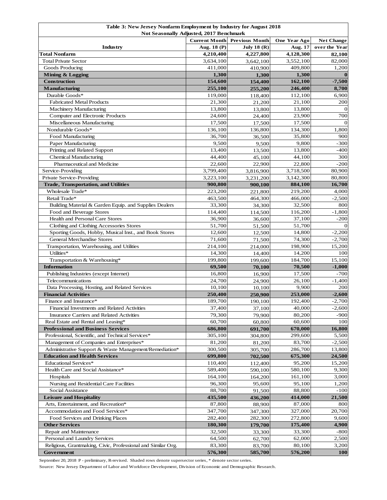| Table 3: New Jersey Nonfarm Employment by Industry for August 2018                                |                        |                       |                        |                    |  |
|---------------------------------------------------------------------------------------------------|------------------------|-----------------------|------------------------|--------------------|--|
| <b>Not Seasonally Adjusted, 2017 Benchmark</b>                                                    |                        |                       |                        |                    |  |
|                                                                                                   | <b>Current Month</b>   | <b>Previous Month</b> | One Year Ago           | <b>Net Change</b>  |  |
| Industry                                                                                          | Aug. 18 (P)            | <b>July 18 (R)</b>    | Aug. 17                | over the Year      |  |
| <b>Total Nonfarm</b>                                                                              | 4,210,400              | 4,227,800             | 4,128,300              | 82,100             |  |
| <b>Total Private Sector</b>                                                                       | 3,634,100              | 3,642,100             | 3,552,100              | 82,000             |  |
| Goods Producing                                                                                   | 411,000                | 410,900               | 409,800                | 1,200              |  |
| Mining & Logging                                                                                  | 1,300                  | 1,300                 | 1,300                  | $\mathbf{0}$       |  |
| <b>Construction</b>                                                                               | 154,600                | 154,400               | 162,100                | $-7,500$           |  |
| <b>Manufacturing</b>                                                                              | 255,100                | 255,200               | 246,400                | 8,700              |  |
| Durable Goods*                                                                                    | 119,000                | 118,400               | 112,100                | 6,900              |  |
| <b>Fabricated Metal Products</b>                                                                  | 21,300                 | 21,200                | 21,100                 | 200                |  |
| Machinery Manufacturing                                                                           | 13,800                 | 13,800                | 13,800                 | $\Omega$           |  |
| Computer and Electronic Products                                                                  | 24,600                 | 24,400                | 23,900                 | 700                |  |
| Miscellaneous Manufacturing                                                                       | 17,500                 | 17,500                | 17,500                 | $\mathbf{0}$       |  |
| Nondurable Goods*                                                                                 | 136,100                | 136,800               | 134,300                | 1,800              |  |
| Food Manufacturing                                                                                | 36,700                 | 36,500                | 35,800                 | 900                |  |
| Paper Manufacturing                                                                               | 9,500                  | 9,500                 | 9,800                  | $-300$             |  |
| Printing and Related Support<br><b>Chemical Manufacturing</b>                                     | 13,400<br>44,400       | 13,500                | 13,800                 | $-400$             |  |
| Pharmaceutical and Medicine                                                                       | 22,600                 | 45,100                | 44,100                 | 300                |  |
|                                                                                                   | 3,799,400              | 22,900                | 22,800                 | $-200$             |  |
| Service-Providing<br>Private Service-Providing                                                    | $\overline{3,223,100}$ | 3,816,900             | 3,718,500<br>3,142,300 | 80,900<br>80,800   |  |
| <b>Trade, Transportation, and Utilities</b>                                                       | 900,800                | 3,231,200<br>900,100  | 884,100                | 16,700             |  |
| Wholesale Trade*                                                                                  | 223,200                |                       | 219,200                | 4,000              |  |
| Retail Trade*                                                                                     |                        | 221,800               |                        |                    |  |
|                                                                                                   | 463,500<br>33,300      | 464,300               | 466,000<br>32,500      | $-2,500$           |  |
| Building Material & Garden Equip. and Supplies Dealers                                            | 114,400                | 34,300                |                        | 800                |  |
| Food and Beverage Stores<br>Health and Personal Care Stores                                       | 36,900                 | 114,500               | 116,200<br>37,100      | $-1,800$           |  |
|                                                                                                   | 51,700                 | 36,600                | 51,700                 | $-200$<br>$\Omega$ |  |
| Clothing and Clothing Accessories Stores<br>Sporting Goods, Hobby, Musical Inst., and Book Stores |                        | 51,500                |                        |                    |  |
| <b>General Merchandise Stores</b>                                                                 | 12,600<br>71,600       | 12,500                | 14,800<br>74,300       | $-2,200$           |  |
| Transportation, Warehousing, and Utilities                                                        | 214,100                | 71,500<br>214,000     | 198,900                | $-2,700$<br>15,200 |  |
| Utilities*                                                                                        | 14,300                 | 14,400                | 14,200                 | 100                |  |
| Transportation & Warehousing*                                                                     | 199,800                | 199,600               | 184,700                | 15,100             |  |
| <b>Information</b>                                                                                | 69,500                 | 70,100                | 70,500                 | $-1,000$           |  |
| Publishing Industries (except Internet)                                                           | 16,800                 | 16,900                | 17,500                 | -700               |  |
| Telecommunications                                                                                | 24,700                 | 24,900                | 26,100                 | $-1,400$           |  |
| Data Processing, Hosting, and Related Services                                                    | 10,100                 | 10,100                | 9,900                  | 200                |  |
| <b>Financial Activities</b>                                                                       | 250,400                | 250,900               | 253,000                | $-2,600$           |  |
| Finance and Insurance*                                                                            | 189,700                | 190,100               | 192,400                | $-2,700$           |  |
| Financial Investments and Related Activities                                                      | 37,400                 | 37,100                | 40,000                 | $-2,600$           |  |
| Insurance Carriers and Related Activities                                                         | 79,300                 | 79,900                | 80,200                 | -900               |  |
| Real Estate and Rental and Leasing*                                                               | 60,700                 | 60,800                | 60,600                 | 100                |  |
| <b>Professional and Business Services</b>                                                         | 686,800                | 691,700               | 670,000                | 16,800             |  |
| Professional, Scientific, and Technical Services*                                                 | 305,100                | 304,800               | 299,600                | 5,500              |  |
| Management of Companies and Enterprises*                                                          | 81,200                 | 81,200                | 83,700                 | $-2,500$           |  |
| Administrative Support & Waste Management/Remediation*                                            | 300,500                | 305,700               | 286,700                | 13,800             |  |
| <b>Education and Health Services</b>                                                              | 699,800                | 702,500               | 675,300                | 24,500             |  |
| Educational Services*                                                                             | 110,400                | 112,400               | 95,200                 | 15,200             |  |
| Health Care and Social Assistance*                                                                | 589,400                | 590,100               | 580,100                | 9,300              |  |
| Hospitals                                                                                         | 164,100                | 164,200               | 161,100                | 3,000              |  |
| Nursing and Residential Care Facilities                                                           | 96,300                 | 95,600                | 95,100                 | 1,200              |  |
| Social Assistance                                                                                 | 88,700                 | 91,500                | 88,800                 | -100               |  |
| <b>Leisure and Hospitality</b>                                                                    | 435,500                | 436,200               | 414,000                | 21,500             |  |
| Arts, Entertainment, and Recreation*                                                              | 87,800                 | 88,900                | 87,000                 | 800                |  |
| Accommodation and Food Services*                                                                  | 347,700                | 347,300               | 327,000                | 20,700             |  |
| Food Services and Drinking Places                                                                 | 282,400                | 282,300               | 272,800                | 9,600              |  |
| <b>Other Services</b>                                                                             | 180,300                | 179,700               | 175,400                | 4,900              |  |
| Repair and Maintenance                                                                            | 32,500                 | 33,300                | 33,300                 | -800               |  |
| Personal and Laundry Services                                                                     | 64,500                 | 62,700                | 62,000                 | 2,500              |  |
| Religious, Grantmaking, Civic, Professional and Similar Org.                                      | 83,300                 | 83,700                | 80,100                 | 3,200              |  |
| Government                                                                                        | 576,300                | 585,700               | 576,200                | <b>100</b>         |  |

September 20, 2018 P - preliminary, R-revised. Shaded rows denote supersector series, \* denote sector series.

Source: New Jersey Department of Labor and Workforce Development, Division of Economic and Demographic Research.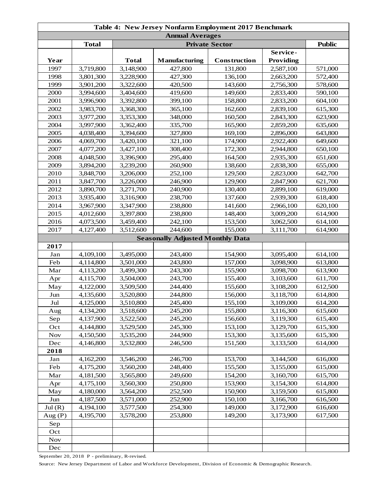| <b>Annual Averages</b><br><b>Total</b><br><b>Private Sector</b><br>Service-<br><b>Total</b><br><b>Manufacturing</b><br>Providing<br>Year<br>Construction<br>1997<br>3,719,800<br>3,148,900<br>131,800<br>427,800<br>2,587,100<br>1998<br>3,801,300<br>3,228,900<br>427,300<br>136,100<br>2,663,200<br>1999<br>3,901,200<br>3,322,600<br>420,500<br>2,756,300<br>143,600<br>2000<br>419,600<br>3,994,600<br>3,404,600<br>149,600<br>2,833,400 |               |
|----------------------------------------------------------------------------------------------------------------------------------------------------------------------------------------------------------------------------------------------------------------------------------------------------------------------------------------------------------------------------------------------------------------------------------------------|---------------|
|                                                                                                                                                                                                                                                                                                                                                                                                                                              |               |
|                                                                                                                                                                                                                                                                                                                                                                                                                                              | <b>Public</b> |
|                                                                                                                                                                                                                                                                                                                                                                                                                                              |               |
|                                                                                                                                                                                                                                                                                                                                                                                                                                              |               |
|                                                                                                                                                                                                                                                                                                                                                                                                                                              | 571,000       |
|                                                                                                                                                                                                                                                                                                                                                                                                                                              | 572,400       |
|                                                                                                                                                                                                                                                                                                                                                                                                                                              | 578,600       |
|                                                                                                                                                                                                                                                                                                                                                                                                                                              | 590,100       |
| 2001<br>3,996,900<br>3,392,800<br>399,100<br>158,800<br>2,833,200                                                                                                                                                                                                                                                                                                                                                                            | 604,100       |
| 2002<br>3,983,700<br>3,368,300<br>365,100<br>162,600<br>2,839,100                                                                                                                                                                                                                                                                                                                                                                            | 615,300       |
| 2003<br>3,977,200<br>3,353,300<br>348,000<br>160,500<br>2,843,300                                                                                                                                                                                                                                                                                                                                                                            | 623,900       |
| 2004<br>3,997,900<br>3,362,400<br>335,700<br>165,900<br>2,859,200                                                                                                                                                                                                                                                                                                                                                                            | 635,600       |
| 2005<br>4,038,400<br>3,394,600<br>327,800<br>169,100<br>2,896,000                                                                                                                                                                                                                                                                                                                                                                            | 643,800       |
| 2006<br>4,069,700<br>3,420,100<br>321,100<br>174,900<br>2,922,400                                                                                                                                                                                                                                                                                                                                                                            | 649,600       |
| 2007<br>172,300<br>4,077,200<br>3,427,100<br>308,400<br>2,944,800                                                                                                                                                                                                                                                                                                                                                                            | 650,100       |
| 2008<br>295,400<br>4,048,500<br>3,396,900<br>164,500<br>2,935,300                                                                                                                                                                                                                                                                                                                                                                            | 651,600       |
| 2009<br>3,894,200<br>3,239,200<br>260,900<br>138,600<br>2,838,300                                                                                                                                                                                                                                                                                                                                                                            | 655,000       |
| 252,100<br>2010<br>3,848,700<br>3,206,000<br>129,500<br>2,823,000                                                                                                                                                                                                                                                                                                                                                                            | 642,700       |
| 2011<br>3,847,700<br>3,226,000<br>246,900<br>129,900<br>2,847,900                                                                                                                                                                                                                                                                                                                                                                            | 621,700       |
| 2012<br>3,890,700<br>3,271,700<br>240,900<br>130,400<br>2,899,100                                                                                                                                                                                                                                                                                                                                                                            | 619,000       |
| 2013<br>3,935,400<br>238,700<br>137,600<br>3,316,900<br>2,939,300                                                                                                                                                                                                                                                                                                                                                                            | 618,400       |
| 2014<br>3,967,900<br>3,347,900<br>238,800<br>141,600<br>2,966,100                                                                                                                                                                                                                                                                                                                                                                            | 620,100       |
| 2015<br>4,012,600<br>3,397,800<br>238,800<br>148,400<br>3,009,200                                                                                                                                                                                                                                                                                                                                                                            | 614,900       |
| 2016<br>4,073,500<br>3,459,400<br>242,100<br>153,500<br>3,062,500                                                                                                                                                                                                                                                                                                                                                                            | 614,100       |
| 3,512,600<br>244,600<br>2017<br>4,127,400<br>155,000<br>3,111,700                                                                                                                                                                                                                                                                                                                                                                            | 614,900       |
| <b>Seasonally Adjusted Monthly Data</b>                                                                                                                                                                                                                                                                                                                                                                                                      |               |
| 2017                                                                                                                                                                                                                                                                                                                                                                                                                                         |               |
| Jan<br>4,109,100<br>3,495,000<br>243,400<br>154,900<br>3,095,400                                                                                                                                                                                                                                                                                                                                                                             | 614,100       |
| Feb<br>4,114,800<br>3,501,000<br>243,800<br>157,000<br>3,098,900                                                                                                                                                                                                                                                                                                                                                                             | 613,800       |
| Mar<br>4,113,200<br>3,499,300<br>243,300<br>155,900<br>3,098,700                                                                                                                                                                                                                                                                                                                                                                             | 613,900       |
| 4,115,700<br>3,504,000<br>243,700<br>155,400<br>3,103,600<br>Apr                                                                                                                                                                                                                                                                                                                                                                             | 611,700       |
| 4,122,000<br>3,509,500<br>244,400<br>155,600<br>3,108,200<br>May                                                                                                                                                                                                                                                                                                                                                                             | 612,500       |
| Jun<br>4,135,600<br>3,520,800<br>244,800<br>156,000<br>3,118,700                                                                                                                                                                                                                                                                                                                                                                             | 614,800       |
| Jul<br>4,125,000<br>3,510,800<br>245,400<br>155,100<br>3,109,000                                                                                                                                                                                                                                                                                                                                                                             | 614,200       |
| 155,800<br>3,116,300<br>4,134,200<br>3,518,600<br>245,200<br>Aug                                                                                                                                                                                                                                                                                                                                                                             | 615,600       |
| 245,200<br>3,119,300<br>Sep<br>4,137,900<br>3,522,500<br>156,600                                                                                                                                                                                                                                                                                                                                                                             | 615,400       |
| 4,144,800<br>3,529,500<br>245,300<br>153,100<br>3,129,700<br>Oct                                                                                                                                                                                                                                                                                                                                                                             | 615,300       |
| <b>Nov</b><br>4,150,500<br>3,535,200<br>244,900<br>153,300<br>3,135,600                                                                                                                                                                                                                                                                                                                                                                      | 615,300       |
| 4,146,800<br>3,532,800<br>246,500<br>151,500<br>3,133,500<br>Dec                                                                                                                                                                                                                                                                                                                                                                             | 614,000       |
| 2018                                                                                                                                                                                                                                                                                                                                                                                                                                         |               |
| 4,162,200<br>3,546,200<br>246,700<br>153,700<br>3,144,500<br>Jan                                                                                                                                                                                                                                                                                                                                                                             | 616,000       |
| Feb<br>4,175,200<br>3,560,200<br>248,400<br>155,500<br>3,155,000                                                                                                                                                                                                                                                                                                                                                                             | 615,000       |
| Mar<br>4,181,500<br>3,565,800<br>249,600<br>154,200<br>3,160,700                                                                                                                                                                                                                                                                                                                                                                             | 615,700       |
| 4,175,100<br>3,560,300<br>250,800<br>153,900<br>3,154,300<br>Apr                                                                                                                                                                                                                                                                                                                                                                             | 614,800       |
| 252,500<br>4,180,000<br>3,564,200<br>150,900<br>3,159,500<br>May                                                                                                                                                                                                                                                                                                                                                                             | 615,800       |
| Jun<br>4,187,500<br>3,571,000<br>252,900<br>150,100<br>3,166,700                                                                                                                                                                                                                                                                                                                                                                             | 616,500       |
| Jul(R)<br>4,194,100<br>3,577,500<br>254,300<br>149,000<br>3,172,900                                                                                                                                                                                                                                                                                                                                                                          | 616,600       |
| 4,195,700<br>3,578,200<br>253,800<br>149,200<br>3,173,900<br>Aug $(P)$                                                                                                                                                                                                                                                                                                                                                                       | 617,500       |
| Sep                                                                                                                                                                                                                                                                                                                                                                                                                                          |               |
| Oct                                                                                                                                                                                                                                                                                                                                                                                                                                          |               |
| <b>Nov</b>                                                                                                                                                                                                                                                                                                                                                                                                                                   |               |
| Dec                                                                                                                                                                                                                                                                                                                                                                                                                                          |               |

September 20, 2018 P - preliminary, R-revised.

Source: New Jersey Department of Labor and Workforce Development, Division of Economic & Demographic Research.